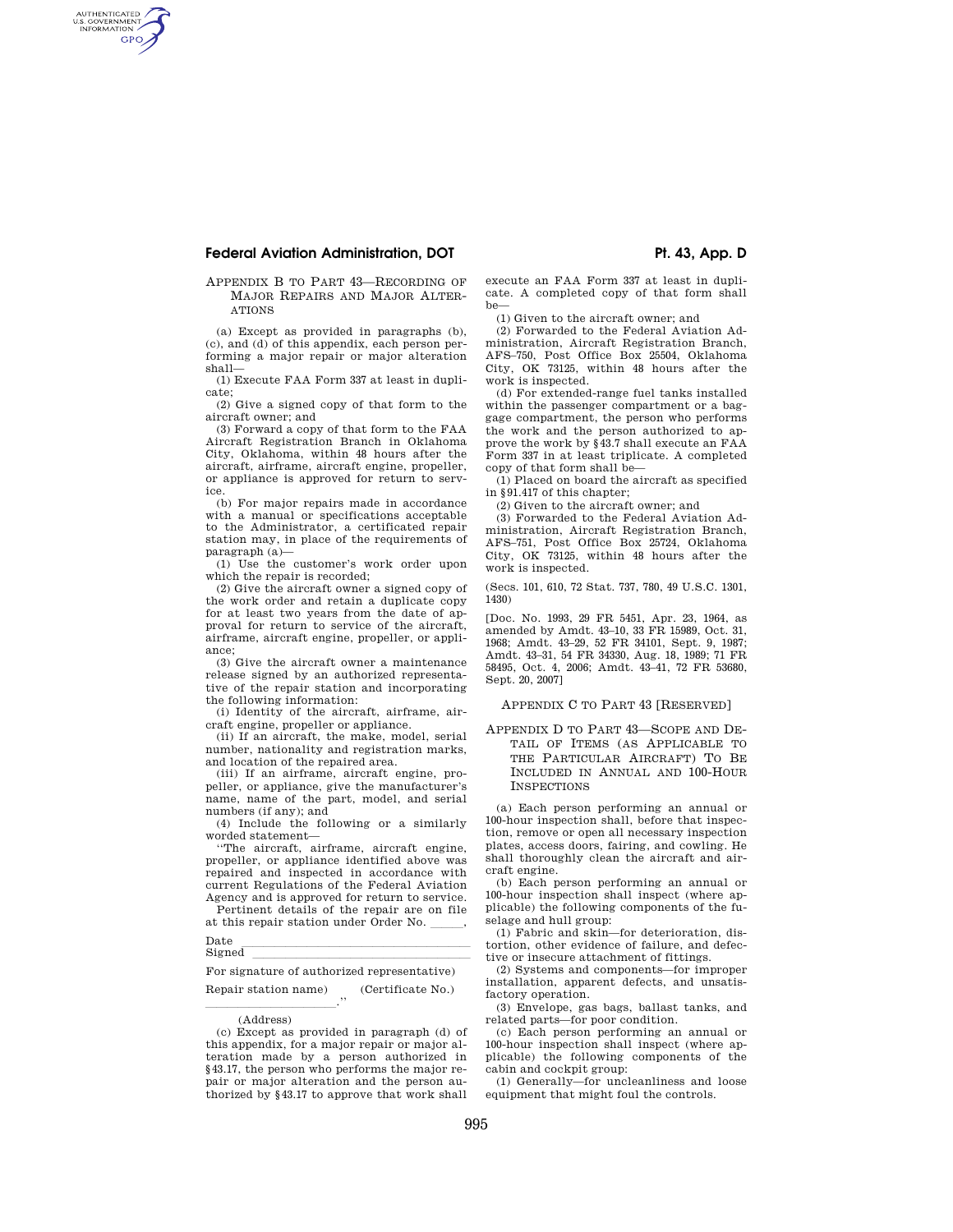# **Federal Aviation Administration, DOT**  Pt. 43, App. D

AUTHENTICATED<br>U.S. GOVERNMENT<br>INFORMATION **GPO** 

## APPENDIX B TO PART 43—RECORDING OF MAJOR REPAIRS AND MAJOR ALTER-ATIONS

(a) Except as provided in paragraphs (b), (c), and (d) of this appendix, each person performing a major repair or major alteration shall—

(1) Execute FAA Form 337 at least in duplicate;

(2) Give a signed copy of that form to the aircraft owner; and

(3) Forward a copy of that form to the FAA Aircraft Registration Branch in Oklahoma City, Oklahoma, within 48 hours after the aircraft, airframe, aircraft engine, propeller, or appliance is approved for return to service.

(b) For major repairs made in accordance with a manual or specifications acceptable to the Administrator, a certificated repair station may, in place of the requirements of paragraph (a)—

(1) Use the customer's work order upon which the repair is recorded;

(2) Give the aircraft owner a signed copy of the work order and retain a duplicate copy for at least two years from the date of approval for return to service of the aircraft, airframe, aircraft engine, propeller, or appliance;

(3) Give the aircraft owner a maintenance release signed by an authorized representative of the repair station and incorporating the following information:

(i) Identity of the aircraft, airframe, aircraft engine, propeller or appliance.

(ii) If an aircraft, the make, model, serial number, nationality and registration marks, and location of the repaired area.

(iii) If an airframe, aircraft engine, propeller, or appliance, give the manufacturer's name, name of the part, model, and serial numbers (if any); and

(4) Include the following or a similarly worded statement—

''The aircraft, airframe, aircraft engine, propeller, or appliance identified above was repaired and inspected in accordance with current Regulations of the Federal Aviation Agency and is approved for return to service.

Pertinent details of the repair are on file at this repair station under Order No.<br>Date

Date lletter and the late of the late of the late of the late of the late of the late of the late of the late o<br>Signed

# Signed llllllllllllllllllll For signature of authorized representative)

Repair station name) (Certificate No.)

<u>lle sur le partie de l'architecture</u> de l'architecture de l'architecture de l'architecture de l'architecture de<br>L'architecture de l'architecture de l'architecture de l'architecture de l'architecture de l'architecture de l (Address)

execute an FAA Form 337 at least in duplicate. A completed copy of that form shall  $he$ 

(1) Given to the aircraft owner; and

(2) Forwarded to the Federal Aviation Administration, Aircraft Registration Branch, AFS–750, Post Office Box 25504, Oklahoma City, OK 73125, within 48 hours after the work is inspected.

(d) For extended-range fuel tanks installed within the passenger compartment or a baggage compartment, the person who performs the work and the person authorized to approve the work by §43.7 shall execute an FAA Form 337 in at least triplicate. A completed copy of that form shall be—

(1) Placed on board the aircraft as specified in §91.417 of this chapter;

(2) Given to the aircraft owner; and

(3) Forwarded to the Federal Aviation Administration, Aircraft Registration Branch, AFS–751, Post Office Box 25724, Oklahoma City, OK 73125, within 48 hours after the work is inspected.

(Secs. 101, 610, 72 Stat. 737, 780, 49 U.S.C. 1301, 1430)

[Doc. No. 1993, 29 FR 5451, Apr. 23, 1964, as amended by Amdt. 43–10, 33 FR 15989, Oct. 31, 1968; Amdt. 43–29, 52 FR 34101, Sept. 9, 1987; Amdt. 43–31, 54 FR 34330, Aug. 18, 1989; 71 FR 58495, Oct. 4, 2006; Amdt. 43–41, 72 FR 53680, Sept. 20, 2007]

### APPENDIX C TO PART 43 [RESERVED]

APPENDIX D TO PART 43—SCOPE AND DE-TAIL OF ITEMS (AS APPLICABLE TO THE PARTICULAR AIRCRAFT) TO BE INCLUDED IN ANNUAL AND 100-HOUR **INSPECTIONS** 

(a) Each person performing an annual or 100-hour inspection shall, before that inspection, remove or open all necessary inspection plates, access doors, fairing, and cowling. He shall thoroughly clean the aircraft and aircraft engine.

(b) Each person performing an annual or 100-hour inspection shall inspect (where applicable) the following components of the fuselage and hull group:

(1) Fabric and skin—for deterioration, distortion, other evidence of failure, and defective or insecure attachment of fittings.

(2) Systems and components—for improper installation, apparent defects, and unsatisfactory operation.

(3) Envelope, gas bags, ballast tanks, and related parts—for poor condition.

(c) Each person performing an annual or 100-hour inspection shall inspect (where applicable) the following components of the cabin and cockpit group:

(1) Generally—for uncleanliness and loose equipment that might foul the controls.

<sup>(</sup>c) Except as provided in paragraph (d) of this appendix, for a major repair or major alteration made by a person authorized in §43.17, the person who performs the major repair or major alteration and the person authorized by §43.17 to approve that work shall